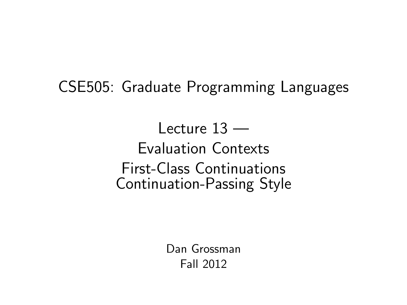CSE505: Graduate Programming Languages

Lecture  $13 -$ Evaluation Contexts First-Class Continuations Continuation-Passing Style

> <span id="page-0-0"></span>Dan Grossman Fall 2012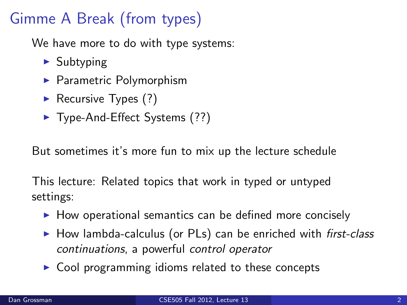# Gimme A Break (from types)

We have more to do with type systems:

- $\blacktriangleright$  Subtyping
- $\blacktriangleright$  Parametric Polymorphism
- Recursive Types  $(?)$
- $\blacktriangleright$  Type-And-Effect Systems (??)

But sometimes it's more fun to mix up the lecture schedule

This lecture: Related topics that work in typed or untyped settings:

- $\blacktriangleright$  How operational semantics can be defined more concisely
- $\triangleright$  How lambda-calculus (or PLs) can be enriched with first-class continuations, a powerful control operator
- $\triangleright$  Cool programming idioms related to these concepts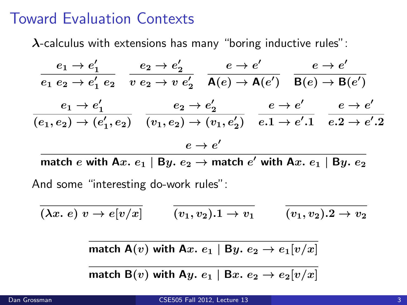#### Toward Evaluation Contexts

 $\lambda$ -calculus with extensions has many "boring inductive rules":

$$
\frac{e_1 \rightarrow e'_1}{e_1 e_2 \rightarrow e'_1 e_2} \quad \frac{e_2 \rightarrow e'_2}{v e_2 \rightarrow v e'_2} \quad \frac{e \rightarrow e'}{\mathsf{A}(e) \rightarrow \mathsf{A}(e')} \quad \frac{e \rightarrow e'}{\mathsf{B}(e) \rightarrow \mathsf{B}(e')}
$$
\n
$$
\frac{e_1 \rightarrow e'_1}{(e_1, e_2) \rightarrow (e'_1, e_2)} \quad \frac{e_2 \rightarrow e'_2}{(v_1, e_2) \rightarrow (v_1, e'_2)} \quad \frac{e \rightarrow e'}{e \rightarrow e' \rightarrow e' \rightarrow e' \rightarrow e'}
$$
\n
$$
\frac{e \rightarrow e'}{e \rightarrow e'}
$$

match  $e$  with A $x.$   $e_1 \mid$  B $y.$   $e_2$   $\rightarrow$  match  $e'$  with A $x.$   $e_1 \mid$  B $y.$   $e_2$ And some "interesting do-work rules":

$$
\overline{(\lambda x.\ e)\ v \rightarrow e[v/x]} \qquad \overline{(v_1,v_2).1 \rightarrow v_1} \qquad \overline{(v_1,v_2).2 \rightarrow v_2}
$$

match A(v) with Ax.  $e_1$  | By.  $e_2 \rightarrow e_1[v/x]$ 

match B(v) with Ay.  $e_1$  | Bx.  $e_2 \rightarrow e_2[v/x]$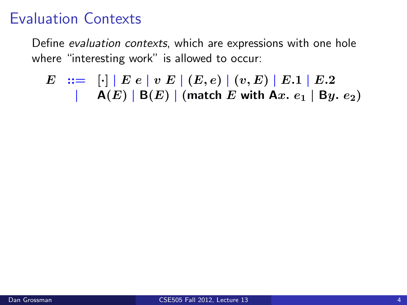Define evaluation contexts, which are expressions with one hole where "interesting work" is allowed to occur:

$$
E ::= [\cdot] | E e | v E | (E, e) | (v, E) | E.1 | E.2
$$
  
 
$$
| A(E) | B(E) | (match E with Ax. e1 | By. e2)
$$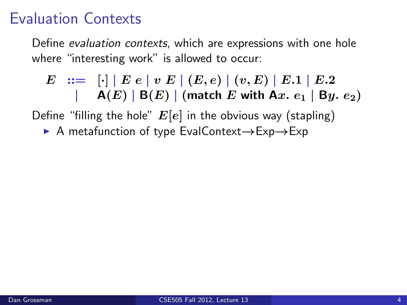Define evaluation contexts, which are expressions with one hole where "interesting work" is allowed to occur:

$$
E ::= [\cdot] | E e | v E | (E, e) | (v, E) | E.1 | E.2
$$
  
 
$$
| A(E) | B(E) | (match E with Ax. e1 | By. e2)
$$

Define "filling the hole"  $E[e]$  in the obvious way (stapling)

■ A metafunction of type EvalContext→Exp→Exp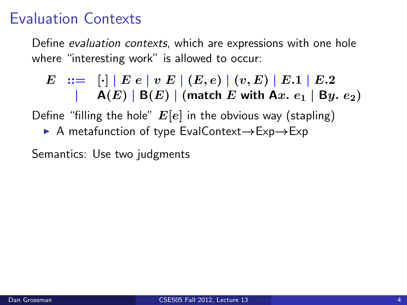Define evaluation contexts, which are expressions with one hole where "interesting work" is allowed to occur:

$$
E := \big[\cdot \big] | E e | v E | (E, e) | (v, E) | E.1 | E.2
$$
  
 
$$
| A(E) | B(E) | (match E with Ax. e1 | By. e2)
$$

Define "filling the hole"  $E[e]$  in the obvious way (stapling)

■ A metafunction of type EvalContext→Exp→Exp

Semantics: Use two judgments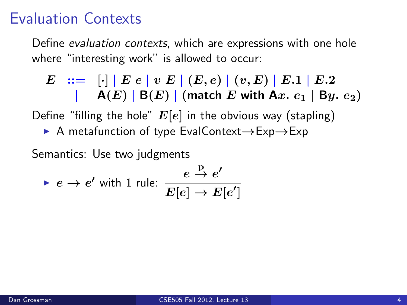Define evaluation contexts, which are expressions with one hole where "interesting work" is allowed to occur:

$$
E ::= [\cdot] | E e | v E | (E, e) | (v, E) | E.1 | E.2
$$
  
 
$$
| A(E) | B(E) | (match E with Ax. e1 | By. e2)
$$

Define "filling the hole"  $E[e]$  in the obvious way (stapling)

■ A metafunction of type EvalContext→Exp→Exp

Semantics: Use two judgments

$$
\blacktriangleright e \to e' \text{ with } 1 \text{ rule: } \frac{e \stackrel{\text{p}}{\to} e'}{E[e] \to E[e']}
$$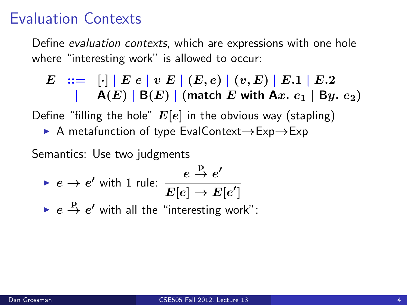Define evaluation contexts, which are expressions with one hole where "interesting work" is allowed to occur:

$$
E ::= [\cdot] | E e | v E | (E, e) | (v, E) | E.1 | E.2
$$
  
 
$$
| A(E) | B(E) | (match E with Ax. e1 | By. e2)
$$

Define "filling the hole"  $E[e]$  in the obvious way (stapling)

■ A metafunction of type EvalContext→Exp→Exp

Semantics: Use two judgments

\n- $$
e \rightarrow e'
$$
 with 1 rule:  $\frac{e \stackrel{P}{\rightarrow} e'}{E[e] \rightarrow E[e']}$
\n- $e \stackrel{P}{\rightarrow} e'$  with all the "interesting work".
\n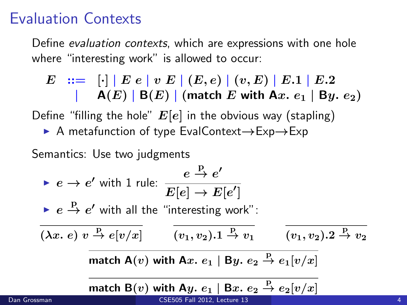Define evaluation contexts, which are expressions with one hole where "interesting work" is allowed to occur:

$$
E := \bigcup_{i=1}^{n} |E e | v E | (E, e) | (v, E) | E.1 | E.2
$$
  
 
$$
= \bigcap_{i=1}^{n} |B(E) | (match E with Ax. e_1 | By. e_2)
$$

Define "filling the hole"  $E[e]$  in the obvious way (stapling)

■ A metafunction of type EvalContext→Exp→Exp

Semantics: Use two judgments

$$
e \rightarrow e' \text{ with 1 rule: } \frac{e \stackrel{\text{p}}{\rightarrow} e'}{E[e] \rightarrow E[e']}
$$
  
\n
$$
\leftarrow e \stackrel{\text{p}}{\rightarrow} e' \text{ with all the "interesting work":}
$$
  
\n
$$
\overline{(\lambda x. e) v \stackrel{\text{p}}{\rightarrow} e[v/x]} \qquad \overline{(v_1, v_2).1 \stackrel{\text{p}}{\rightarrow} v_1} \qquad \overline{(v_1, v_2).2 \stackrel{\text{p}}{\rightarrow} v_2}
$$
  
\n
$$
\overline{\text{match A}(v) \text{ with A}x. e_1 | \text{By. } e_2 \stackrel{\text{p}}{\rightarrow} e_1[v/x]}
$$
  
\n
$$
\overline{\text{match B}(v) \text{ with A}y. e_1 | \text{B}x. e_2 \stackrel{\text{p}}{\rightarrow} e_2[v/x]}
$$

Dan Grossman [CSE505 Fall 2012, Lecture 13](#page-0-0) 4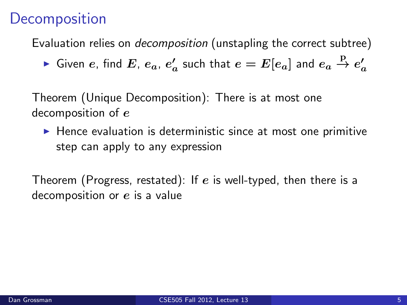## **Decomposition**

Evaluation relies on *decomposition* (unstapling the correct subtree)

 $\blacktriangleright$  Given  $e$ , find  $E$ ,  $e_a$ ,  $e_a'$  such that  $e=E[e_a]$  and  $e_a\stackrel{\rm P}{\rightarrow}e_a'$ 

Theorem (Unique Decomposition): There is at most one decomposition of e

 $\blacktriangleright$  Hence evaluation is deterministic since at most one primitive step can apply to any expression

Theorem (Progress, restated): If e is well-typed, then there is a decomposition or  $e$  is a value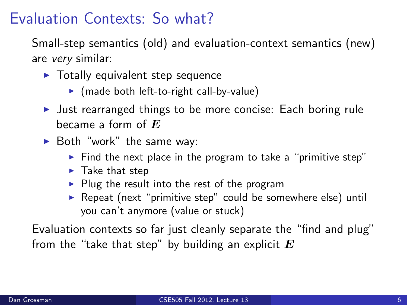# Evaluation Contexts: So what?

Small-step semantics (old) and evaluation-context semantics (new) are very similar:

- $\blacktriangleright$  Totally equivalent step sequence
	- $\triangleright$  (made both left-to-right call-by-value)
- I Just rearranged things to be more concise: Each boring rule became a form of  $E$
- $\blacktriangleright$  Both "work" the same way:
	- $\triangleright$  Find the next place in the program to take a "primitive step"
	- $\blacktriangleright$  Take that step
	- $\blacktriangleright$  Plug the result into the rest of the program
	- **P** Repeat (next "primitive step" could be somewhere else) until you can't anymore (value or stuck)

Evaluation contexts so far just cleanly separate the "find and plug" from the "take that step" by building an explicit  $E$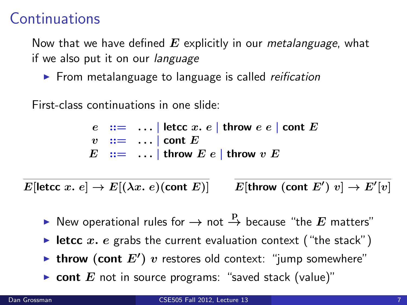## **Continuations**

Now that we have defined  $E$  explicitly in our metalanguage, what if we also put it on our *language* 

 $\triangleright$  From metalanguage to language is called *reification* 

First-class continuations in one slide:

 $e$  ::= ... | letcc x. e | throw  $e$  e | cont E  $v$  :  $=$  ... | cont E  $E$  ::= ... | throw  $E e$  | throw  $v E$ 

E[letcc  $x. e] \rightarrow E[(\lambda x. e)$ (cont E)]  $\hspace{0.1 cm}\prime) \ v] \rightarrow E' [v] \hspace{0.1 cm}$ 

- ▶ New operational rules for  $\rightarrow$  not  $\stackrel{\rm p}{\rightarrow}$  because "the  $E$  matters"
- letcc x. e grabs the current evaluation context ("the stack")
- In throw (cont  $E'$ )  $v$  restores old context: "jump somewhere"
- **Cont**  $E$  not in source programs: "saved stack (value)"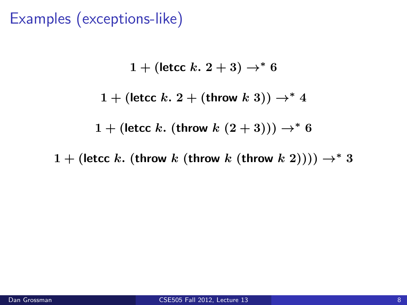Examples (exceptions-like)

1 + (letcc k.  $2 + 3$ )  $\rightarrow^* 6$ 1 + (letcc k. 2 + (throw k 3))  $\rightarrow^*$  4 1 + (letcc k. (throw  $k(2+3))$ )  $\rightarrow^* 6$ 

1 + (letcc k. (throw k (throw k (throw k 2))))  $\rightarrow^* 3$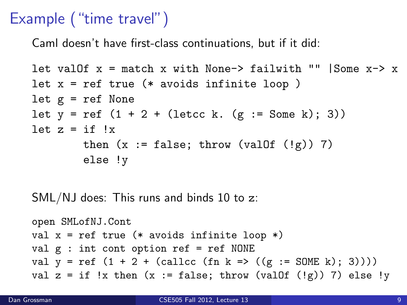## Example ("time travel")

Caml doesn't have first-class continuations, but if it did:

```
let val0f x = match x with None-> failwith "" |Some x-> x
let x = ref true (* avoids infinite loop )let g = ref None
let y = ref (1 + 2 + (letcc k. (g := Some k); 3))let z = if !xthen (x := false; throw (value) \mid (fg)) 7)
        else !y
```
SML/NJ does: This runs and binds 10 to z:

```
open SMLofNJ.Cont
val x = ref true (* avoids infinite loop *)
val g : int cont option ref = ref NONE
val y = ref (1 + 2 + (callcc (fn k = > ((g := SOME k); 3))))val z = if !x then (x := false; throw (value) ((g)) 7) else !y
```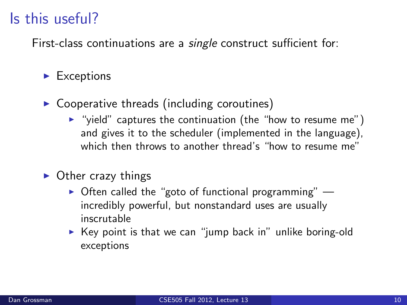## Is this useful?

First-class continuations are a single construct sufficient for:

#### $\blacktriangleright$  Exceptions

- $\triangleright$  Cooperative threads (including coroutines)
	- $\triangleright$  "yield" captures the continuation (the "how to resume me") and gives it to the scheduler (implemented in the language), which then throws to another thread's "how to resume me"
- $\triangleright$  Other crazy things
	- $\triangleright$  Often called the "goto of functional programming" incredibly powerful, but nonstandard uses are usually inscrutable
	- $\triangleright$  Key point is that we can "jump back in" unlike boring-old exceptions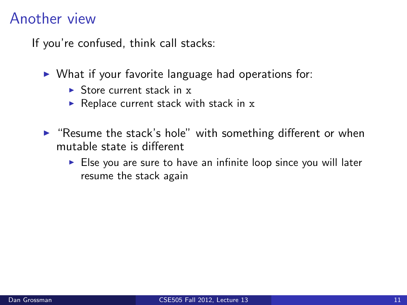#### Another view

If you're confused, think call stacks:

- $\triangleright$  What if your favorite language had operations for:
	- $\triangleright$  Store current stack in x
	- $\triangleright$  Replace current stack with stack in x
- $\blacktriangleright$  "Resume the stack's hole" with something different or when mutable state is different
	- $\triangleright$  Else you are sure to have an infinite loop since you will later resume the stack again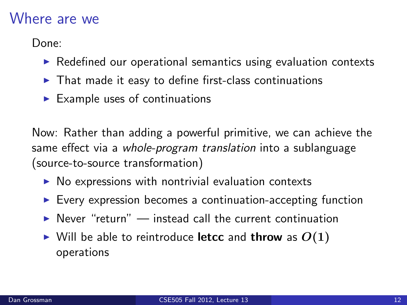#### Where are we

Done:

- $\triangleright$  Redefined our operational semantics using evaluation contexts
- $\blacktriangleright$  That made it easy to define first-class continuations
- $\blacktriangleright$  Example uses of continuations

Now: Rather than adding a powerful primitive, we can achieve the same effect via a *whole-program translation* into a sublanguage (source-to-source transformation)

- $\triangleright$  No expressions with nontrivial evaluation contexts
- $\blacktriangleright$  Every expression becomes a continuation-accepting function
- $\triangleright$  Never "return" instead call the current continuation
- $\triangleright$  Will be able to reintroduce letcc and throw as  $O(1)$ operations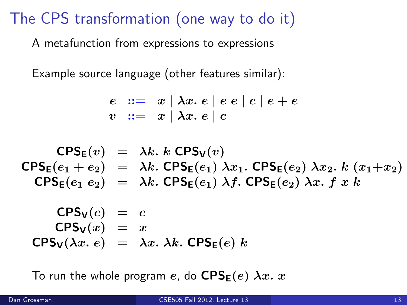# The CPS transformation (one way to do it)

A metafunction from expressions to expressions

Example source language (other features similar):

$$
\begin{array}{c|c|c|c|c|c} e & ::= & x & \lambda x. & e & e & c & e & e \\ v & ::= & x & \lambda x. & e & c & \end{array}
$$

$$
CPS_{E}(v) = \lambda k. k CPS_{V}(v)
$$
  
\n
$$
CPS_{E}(e_{1} + e_{2}) = \lambda k. CPS_{E}(e_{1}) \lambda x_{1}. CPS_{E}(e_{2}) \lambda x_{2}. k (x_{1}+x_{2})
$$
  
\n
$$
CPS_{E}(e_{1} e_{2}) = \lambda k. CPS_{E}(e_{1}) \lambda f. CPS_{E}(e_{2}) \lambda x. f x k
$$
  
\n
$$
CPS_{V}(c) = c
$$

$$
CPS_V(x) = x
$$
  
\n
$$
CPS_V(\lambda x. e) = \lambda x. \lambda k. \, CPS_E(e) \, k
$$

To run the whole program e, do  $CPS_E(e)$   $\lambda x. x$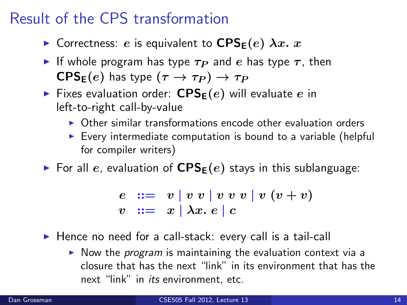# Result of the CPS transformation

- **In** Correctness: e is equivalent to  $CPS_E(e)$   $\lambda x$ . x
- If whole program has type  $\tau_P$  and e has type  $\tau$ , then  $\mathsf{CPS}_\mathsf{E}(e)$  has type  $(\tau \to \tau_P) \to \tau_P$
- Fixes evaluation order:  $CPS<sub>E</sub>(e)$  will evaluate e in left-to-right call-by-value
	- $\triangleright$  Other similar transformations encode other evaluation orders
	- $\triangleright$  Every intermediate computation is bound to a variable (helpful for compiler writers)
- $\triangleright$  For all e, evaluation of  $CPS_E(e)$  stays in this sublanguage:

e ::= v | v v | v v v | v (v + v) v ::= x | λx. e | c

- $\blacktriangleright$  Hence no need for a call-stack: every call is a tail-call
	- $\triangleright$  Now the *program* is maintaining the evaluation context via a closure that has the next "link" in its environment that has the next "link" in *its* environment, etc.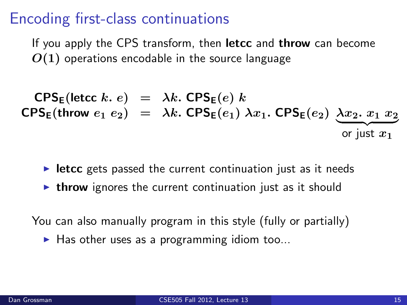## Encoding first-class continuations

If you apply the CPS transform, then **letcc** and **throw** can become  $O(1)$  operations encodable in the source language

 $\mathsf{CPS}_\mathsf{E}(\mathsf{letcc}\; k.\; e) = \lambda k.\; \mathsf{CPS}_\mathsf{E}(e)\; k$ CPS<sub>E</sub>(throw  $e_1 e_2$ ) =  $\lambda k$ . CPS<sub>E</sub>( $e_1$ )  $\lambda x_1$ . CPS<sub>E</sub>( $e_2$ )  $\underline{\lambda x_2}$ .  $\underline{x_1 x_2}$ or just  $x_1$ 

- $\triangleright$  letcc gets passed the current continuation just as it needs
- $\triangleright$  throw ignores the current continuation just as it should

You can also manually program in this style (fully or partially)

 $\blacktriangleright$  Has other uses as a programming idiom too...